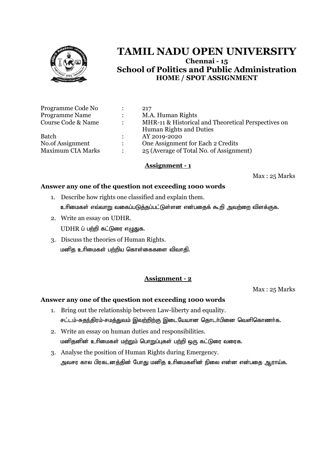

|               | 217                                                 |
|---------------|-----------------------------------------------------|
| $\mathcal{L}$ | M.A. Human Rights                                   |
| $\bullet$     | MHR-11 & Historical and Theoretical Perspectives on |
|               | Human Rights and Duties                             |
|               | AY 2019-2020                                        |
|               | One Assignment for Each 2 Credits                   |
|               | 25 (Average of Total No. of Assignment)             |
|               |                                                     |

#### **Assignment - 1**

Max : 25 Marks

#### **Answer any one of the question not exceeding 1000 words**

- 1. Describe how rights one classified and explain them. உரிமைகள் எவ்வாறு வகைப்படுத்தப்பட்டுள்ளன என்பதைக் கூறி அவற்றை விளக்குக.
- 2. Write an essay on UDHR.  $UDHR$  ப் பற்றி கட்டுரை எழுதுக.
- 3. Discuss the theories of Human Rights. மனித உரிமைகள் பற்றிய கொள்கைகளை விவாதி.

# **Assignment - 2**

Max : 25 Marks

- 1. Bring out the relationship between Law-liberty and equality. சட்டம்-சுதந்திரம்-சமத்துவம் இவற்றிற்கு இடையேயான தொடர்பினை வெளிகொணர்க.
- 2. Write an essay on human duties and responsibilities. மனிதனின் உரிமைகள் மற்றும் பொறுப்புகள் பற்றி ஒரு கட்டுரை வரைக.
- 3. Analyse the position of Human Rights during Emergency. அவசர கால பிரகடனத்தின் போது மனித உரிமைகளின் நிலை என்ன என்பதை ஆராய்க.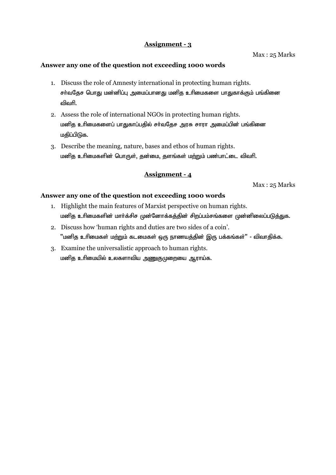Max : 25 Marks

#### **Answer any one of the question not exceeding 1000 words**

- 1. Discuss the role of Amnesty international in protecting human rights. சர்வதேச பொது மன்னிப்பு அமைப்பானது மனித உரிமைகளை பாதுகாக்கும் பங்கினை விவரி
- 2. Assess the role of international NGOs in protecting human rights. மனித உரிமைகளைப் பாதுகாப்பதில் சர்வதேச அரசு சாரா அமைப்பின் பங்கினை மகிப்பிடுக.
- 3. Describe the meaning, nature, bases and ethos of human rights. மனித உரிமைகளின் பொருள், தன்மை, தளங்கள் மற்றும் பண்பாட்டை விவரி.

## **Assignment - 4**

Max : 25 Marks

- 1. Highlight the main features of Marxist perspective on human rights. மனித உரிமைகளின் மார்க்சிச முன்னோக்கத்தின் சிறப்பம்சங்களை முன்னிலைப்படுத்துக.
- 2. Discuss how 'human rights and duties are two sides of a coin'. "மனித உரிமைகள் மற்றும் கடமைகள் ஒரு நாணயத்தின் இரு பக்கங்கள்" - விவாதிக்க.
- 3. Examine the universalistic approach to human rights. மனித உரிமையில் உலகளாவிய அணுகுமுறையை ஆராய்க.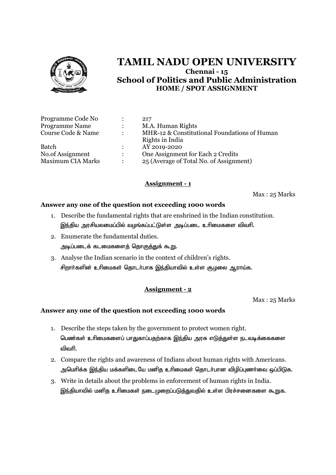

| Programme Code No        |                           | 217                                          |
|--------------------------|---------------------------|----------------------------------------------|
| Programme Name           |                           | M.A. Human Rights                            |
| Course Code & Name       |                           | MHR-12 & Constitutional Foundations of Human |
|                          |                           | Rights in India                              |
| <b>Batch</b>             |                           | AY 2019-2020                                 |
| No.of Assignment         | $\mathbb{R}^{\mathbb{Z}}$ | One Assignment for Each 2 Credits            |
| <b>Maximum CIA Marks</b> |                           | 25 (Average of Total No. of Assignment)      |

# **Assignment - 1**

Max : 25 Marks

## **Answer any one of the question not exceeding 1000 words**

- 1. Describe the fundamental rights that are enshrined in the Indian constitution. இந்திய அரசியலமைப்பில் வழங்கப்பட்டுள்ள அடிப்படை உரிமைகளை விவரி.
- 2. Enumerate the fundamental duties. அடிப்படைக் கடமைகளைத் தொகுத்துக் கூ<u>று</u>.
- 3. Analyse the Indian scenario in the context of children's rights. சிறார்களின் உரிமைகள் தொடர்பாக இந்தியாவில் உள்ள சூழலை ஆராய்க.

# **Assignment - 2**

Max : 25 Marks

- 1. Describe the steps taken by the government to protect women right. பெண்கள் உரிமைகளைப் பாதுகாப்பதற்காக இந்திய அரசு எடுத்துள்ள நடவடிக்கைகளை விவரி.
- 2. Compare the rights and awareness of Indians about human rights with Americans. அமெரிக்க இந்திய மக்களிடையே மனித உரிமைகள் தொடர்பான விழிப்புணர்வை ஒப்பிடுக.
- 3. Write in details about the problems in enforcement of human rights in India. இந்தியாவில் மனித உரிமைகள் நடைமுறைப்படுத்துவதில் உள்ள பிரச்சனைகளை கூறுக.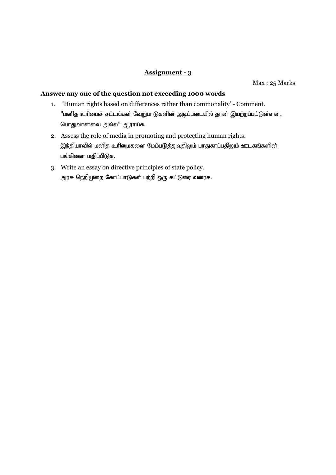Max : 25 Marks

- 1. 'Human rights based on differences rather than commonality' Comment.  $"$ மனித உரிமைச் சட்டங்கள் வேறுபாடுகளின் அடிப்படையில் தான் இயற்றப்பட்டுள்ளன, பொதுவானவை அல்ல" ஆராய்க.
- 2. Assess the role of media in promoting and protecting human rights. இந்தியாவில் மனித உரிமைகளை மேம்படுத்துவதிலும் பாதுகாப்பதிலும் ஊடகங்களின் பங்கினை மதிப்பிடுக.
- 3. Write an essay on directive principles of state policy. அரசு நெறிமுறை கோட்பாடுகள் பற்றி ஒரு கட்டுரை வரைக.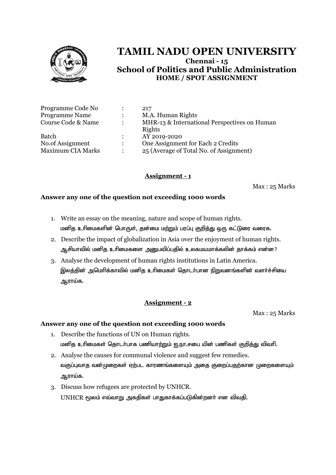

|                      | 217                                          |
|----------------------|----------------------------------------------|
| $\ddot{\phantom{a}}$ | M.A. Human Rights                            |
|                      | MHR-13 & International Perspectives on Human |
|                      | Rights                                       |
| $\ddot{\phantom{a}}$ | AY 2019-2020                                 |
| $\mathbb{R}^+$       | One Assignment for Each 2 Credits            |
|                      | 25 (Average of Total No. of Assignment)      |
|                      |                                              |

# **Assignment - 1**

Max : 25 Marks

#### **Answer any one of the question not exceeding 1000 words**

- 1. Write an essay on the meaning, nature and scope of human rights. மனித உரிமைகளின் பொருள், தன்மை மற்றும் பரப்பு குறித்து ஒரு கட்டுரை வரைக.
- 2. Describe the impact of globalization in Asia over the enjoyment of human rights. ஆசியாவில் மனித உரிமைகளை அனுபவிப்பதில் உலகமயமாக்கலின் தாக்கம் என்ன?
- 3. Analyse the development of human rights institutions in Latin America. இலத்தின் அமெரிக்காவில் மனித உரிமைகள் தொடர்பான நிறுவனங்களின் வளர்ச்சியை ஆராய்க.

# **Assignment - 2**

Max : 25 Marks

- 1. Describe the functions of UN on Human rights. மனித உரிமைகள் தொடர்பாக பணியாற்றும் ഇ.நா.சபை யின் பணிகள் குறித்து விவரி.
- 2. Analyse the causes for communal violence and suggest few remedies. வகுப்புவாத வன்முறைகள் ஏற்பட காரணங்களையும் அதை குறைப்பதற்கான முறைகளையும் ஆராய்க.
- 3. Discuss how refugees are protected by UNHCR.  $UNHCR$  மூலம் எவ்வாறு அகதிகள் பாதுகாக்கப்படுகின்றனர் என விவதி.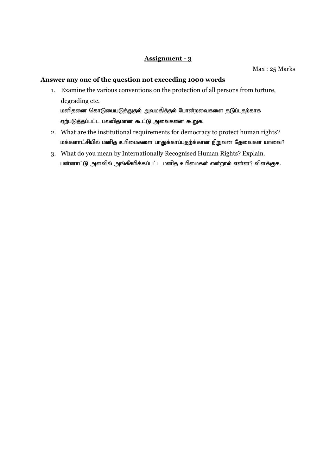Max : 25 Marks

## **Answer any one of the question not exceeding 1000 words**

1. Examine the various conventions on the protection of all persons from torture, degrading etc. மனிதனை கொடுமைபடுத்துதல் அவமதித்தல் போன்றவைகளை தடுப்பதற்காக

 $\overline{\mathfrak{g}}$ ற்படுத்தப்பட்ட பலவிதமான கூட்டு அவைகளை கூறுக.

- 2. What are the institutional requirements for democracy to protect human rights? மக்களாட்சியில் மனித உரிமைகளை பாதுக்காப்பதற்க்கான நிறுவன தேவைகள் யாவை?
- 3. What do you mean by Internationally Recognised Human Rights? Explain. பன்னாட்டு அளவில் அங்கீகரிக்கப்பட்ட மனித உரிமைகள் என்றால் என்ன? விளக்குக.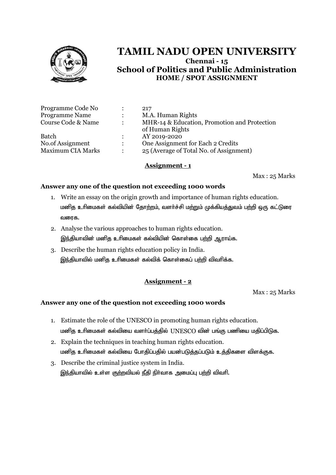

| Programme Code No        |                      | 217                                                             |
|--------------------------|----------------------|-----------------------------------------------------------------|
| <b>Programme Name</b>    | $\ddot{\cdot}$       | M.A. Human Rights                                               |
| Course Code & Name       | $\ddot{\phantom{a}}$ | MHR-14 & Education, Promotion and Protection<br>of Human Rights |
| <b>Batch</b>             |                      | AY 2019-2020                                                    |
| No.of Assignment         | $\ddot{\phantom{a}}$ | One Assignment for Each 2 Credits                               |
| <b>Maximum CIA Marks</b> | $\ddot{\phantom{a}}$ | 25 (Average of Total No. of Assignment)                         |

## **Assignment - 1**

Max : 25 Marks

## **Answer any one of the question not exceeding 1000 words**

- 1. Write an essay on the origin growth and importance of human rights education. மனித உரிமைகள் கல்வியின் தோற்றம், வளர்ச்சி மற்றும் முக்கியத்துவம் பற்றி ஒரு கட்டுரை வரைக.
- 2. Analyse the various approaches to human rights education. இந்தியாவின் மனித உரிமைகள் கல்வியின் கொள்கை பற்றி ஆராய்க.
- 3. Describe the human rights education policy in India. இந்தியாவில் மனித உரிமைகள் கல்விக் கொள்கைப் பற்றி விவரிக்க.

# **Assignment - 2**

Max : 25 Marks

- 1. Estimate the role of the UNESCO in promoting human rights education. மனித உரிமைகள் கல்வியை வளர்ப்பத்தில் UNESCO வின் பங்கு பணியை மதிப்பிடுக.
- 2. Explain the techniques in teaching human rights education. மனித உரிமைகள் கல்வியை போதிப்பதில் பயன்படுத்தப்படும் உத்திகளை விளக்குக.
- 3. Describe the criminal justice system in India. இந்தியாவில் உள்ள குற்றவியல் நீதி நிர்வாக அமைப்பு பற்றி விவரி.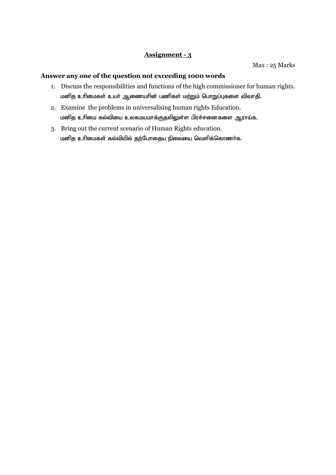- 1. Discuss the responsibilities and functions of the high commissioner for human rights. மனித உரிமைகள் உயர் ஆணையரின் பணிகள் மற்றும் பொறுப்புகளை விவாதி.
- 2. Examine the problems in universalising human rights Education. மனித உரிமை கல்வியை உலகமயமாக்குதலிலுள்ள பிரச்சனைகளை ஆராய்க.
- 3. Bring out the current scenario of Human Rights education. மனித உரிமைகள் கல்வியில் தற்போதைய நிலையை வெளிக்கொணர்க.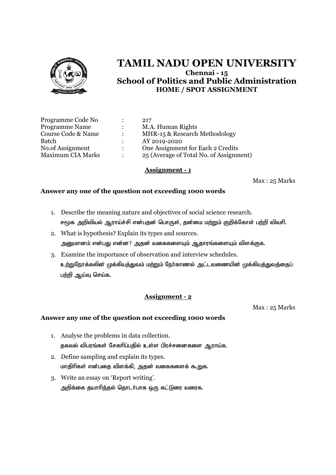

| Programme Code No        |                      | 217                                     |
|--------------------------|----------------------|-----------------------------------------|
| <b>Programme Name</b>    | $\ddot{\phantom{0}}$ | M.A. Human Rights                       |
| Course Code & Name       | $\ddot{\phantom{a}}$ | MHR-15 & Research Methodology           |
| Batch                    |                      | AY 2019-2020                            |
| No.of Assignment         | $\mathcal{L}$        | One Assignment for Each 2 Credits       |
| <b>Maximum CIA Marks</b> | $\ddot{\cdot}$       | 25 (Average of Total No. of Assignment) |

#### **Assignment - 1**

Max : 25 Marks

## **Answer any one of the question not exceeding 1000 words**

- 1. Describe the meaning nature and objectives of social science research. சமூக அறிவியல் ஆராய்ச்சி என்பதன் பொருள், தன்மை மற்றும் குறிக்கோள் பற்றி விவரி.
- 2. What is hypothesis? Explain its types and sources. அனுமானம் என்பது என்ன? அதன் வகைகளையும் ஆதாரங்களையும் விளக்குக.
- 3. Examine the importance of observation and interview schedules. உற்றுநோக்கலின் முக்கியத்துவம் மற்றும் நேர்காணல் அட்டவணையின் முக்கியத்துவத்தைப் பற்றி ஆய்வு செய்க.

# **Assignment - 2**

Max : 25 Marks

- 1. Analyse the problems in data collection. தகவல் விபரங்கள் சேகரிப்பதில் உள்ள பிரச்சனைகளை ஆராய்க.
- 2. Define sampling and explain its types. மாதிரிகள் என்பதை விளக்கி, அதன் வகைகளைக் கூறுக.
- 3. Write an essay on 'Report writing'. அறிக்கை தயாரித்தல் தொடர்பாக ஒரு கட்டுரை வரைக.